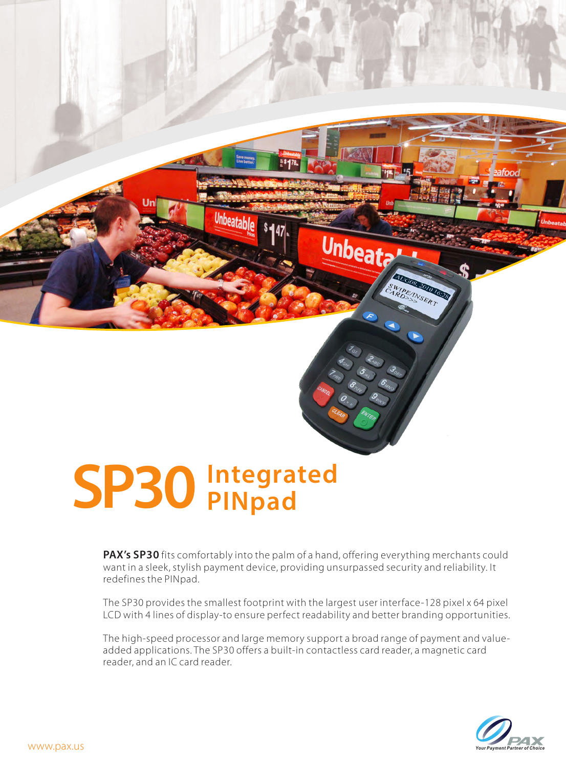## **SP30 Integrated PINpad**

Unbeatable \$447

Unbeat<sub>?</sub>

AUGOS

**ZOID TORE** IPE INSERT

**PAX's SP30** fits comfortably into the palm of a hand, offering everything merchants could want in a sleek, stylish payment device, providing unsurpassed security and reliability. It redefines the PINpad.

The SP30 provides the smallest footprint with the largest user interface-128 pixel x 64 pixel LCD with 4 lines of display-to ensure perfect readability and better branding opportunities.

The high-speed processor and large memory support a broad range of payment and valueadded applications. The SP30 offers a built-in contactless card reader, a magnetic card reader, and an IC card reader.